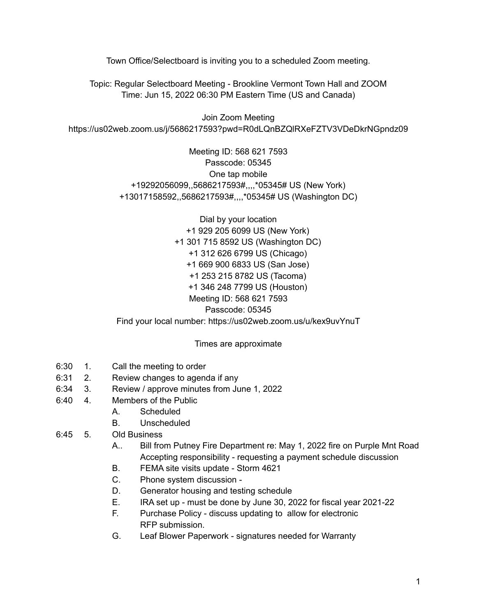Town Office/Selectboard is inviting you to a scheduled Zoom meeting.

Topic: Regular Selectboard Meeting - Brookline Vermont Town Hall and ZOOM Time: Jun 15, 2022 06:30 PM Eastern Time (US and Canada)

Join Zoom Meeting https://us02web.zoom.us/j/5686217593?pwd=R0dLQnBZQlRXeFZTV3VDeDkrNGpndz09

> Meeting ID: 568 621 7593 Passcode: 05345 One tap mobile +19292056099,,5686217593#,,,,\*05345# US (New York) +13017158592,,5686217593#,,,,\*05345# US (Washington DC)

Dial by your location +1 929 205 6099 US (New York) +1 301 715 8592 US (Washington DC) +1 312 626 6799 US (Chicago) +1 669 900 6833 US (San Jose) +1 253 215 8782 US (Tacoma) +1 346 248 7799 US (Houston) Meeting ID: 568 621 7593 Passcode: 05345 Find your local number: https://us02web.zoom.us/u/kex9uvYnuT

Times are approximate

- 6:30 1. Call the meeting to order
- 6:31 2. Review changes to agenda if any
- 6:34 3. Review / approve minutes from June 1, 2022
- 6:40 4. Members of the Public
	- A. Scheduled
	- B. Unscheduled
- 6:45 5. Old Business
	- A.. Bill from Putney Fire Department re: May 1, 2022 fire on Purple Mnt Road Accepting responsibility - requesting a payment schedule discussion
	- B. FEMA site visits update Storm 4621
	- C. Phone system discussion -
	- D. Generator housing and testing schedule
	- E. IRA set up must be done by June 30, 2022 for fiscal year 2021-22
	- F. Purchase Policy discuss updating to allow for electronic RFP submission.
	- G. Leaf Blower Paperwork signatures needed for Warranty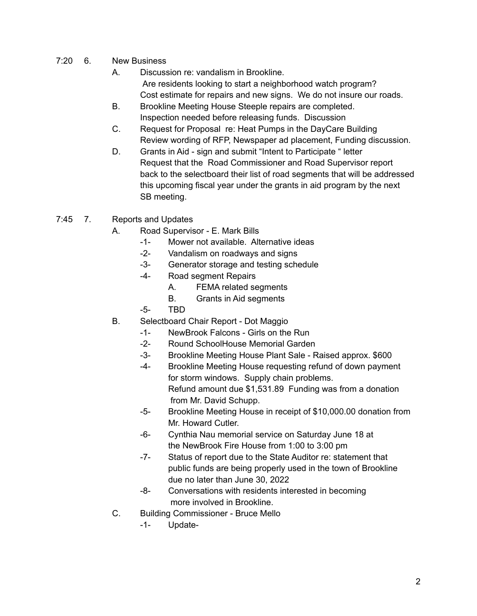- 7:20 6. New Business
	- A. Discussion re: vandalism in Brookline. Are residents looking to start a neighborhood watch program? Cost estimate for repairs and new signs. We do not insure our roads.
	- B. Brookline Meeting House Steeple repairs are completed. Inspection needed before releasing funds. Discussion
	- C. Request for Proposal re: Heat Pumps in the DayCare Building Review wording of RFP, Newspaper ad placement, Funding discussion.
	- D. Grants in Aid sign and submit "Intent to Participate " letter Request that the Road Commissioner and Road Supervisor report back to the selectboard their list of road segments that will be addressed this upcoming fiscal year under the grants in aid program by the next SB meeting.
- 7:45 7. Reports and Updates
	- A. Road Supervisor E. Mark Bills
		- -1- Mower not available. Alternative ideas
		- -2- Vandalism on roadways and signs
		- -3- Generator storage and testing schedule
		- -4- Road segment Repairs
			- A. FEMA related segments
			- B. Grants in Aid segments
		- -5- TBD
	- B. Selectboard Chair Report Dot Maggio
		- -1- NewBrook Falcons Girls on the Run
		- -2- Round SchoolHouse Memorial Garden
		- -3- Brookline Meeting House Plant Sale Raised approx. \$600
		- -4- Brookline Meeting House requesting refund of down payment for storm windows. Supply chain problems. Refund amount due \$1,531.89 Funding was from a donation from Mr. David Schupp.
		- -5- Brookline Meeting House in receipt of \$10,000.00 donation from Mr. Howard Cutler.
		- -6- Cynthia Nau memorial service on Saturday June 18 at the NewBrook Fire House from 1:00 to 3:00 pm
		- -7- Status of report due to the State Auditor re: statement that public funds are being properly used in the town of Brookline due no later than June 30, 2022
		- -8- Conversations with residents interested in becoming more involved in Brookline.
	- C. Building Commissioner Bruce Mello
		- -1- Update-